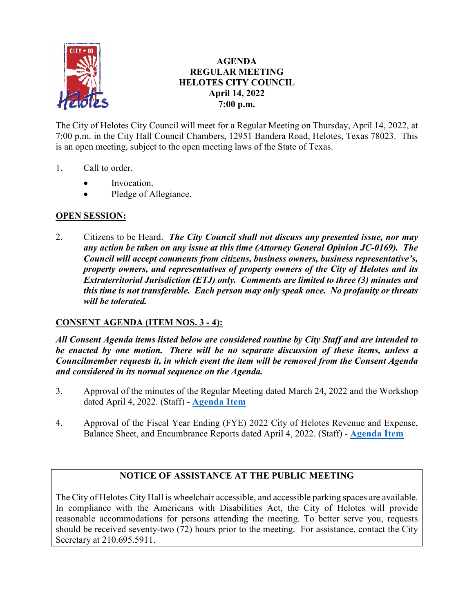

# **AGENDA REGULAR MEETING HELOTES CITY COUNCIL April 14, 2022 7:00 p.m.**

The City of Helotes City Council will meet for a Regular Meeting on Thursday, April 14, 2022, at 7:00 p.m. in the City Hall Council Chambers, 12951 Bandera Road, Helotes, Texas 78023. This is an open meeting, subject to the open meeting laws of the State of Texas.

- 1. Call to order.
	- Invocation.
	- Pledge of Allegiance.

## **OPEN SESSION:**

2. Citizens to be Heard. *The City Council shall not discuss any presented issue, nor may any action be taken on any issue at this time (Attorney General Opinion JC-0169). The Council will accept comments from citizens, business owners, business representative's, property owners, and representatives of property owners of the City of Helotes and its Extraterritorial Jurisdiction (ETJ) only. Comments are limited to three (3) minutes and this time is not transferable. Each person may only speak once. No profanity or threats will be tolerated.* 

## **CONSENT AGENDA (ITEM NOS. 3 - 4):**

*All Consent Agenda items listed below are considered routine by City Staff and are intended to be enacted by one motion. There will be no separate discussion of these items, unless a Councilmember requests it, in which event the item will be removed from the Consent Agenda and considered in its normal sequence on the Agenda.* 

- 3. Approval of the minutes of the Regular Meeting dated March 24, 2022 and the Workshop dated April 4, 2022. (Staff) - **[Agenda Item](https://helotes-tx.gov/wp-content/uploads/2022/04/3-Minutes.pdf)**
- 4. Approval of the Fiscal Year Ending (FYE) 2022 City of Helotes Revenue and Expense, Balance Sheet, and Encumbrance Reports dated April 4, 2022. (Staff) - **[Agenda Item](https://helotes-tx.gov/wp-content/uploads/2022/04/4-Financials.pdf)**

## **NOTICE OF ASSISTANCE AT THE PUBLIC MEETING**

The City of Helotes City Hall is wheelchair accessible, and accessible parking spaces are available. In compliance with the Americans with Disabilities Act, the City of Helotes will provide reasonable accommodations for persons attending the meeting. To better serve you, requests should be received seventy-two (72) hours prior to the meeting. For assistance, contact the City Secretary at 210.695.5911.